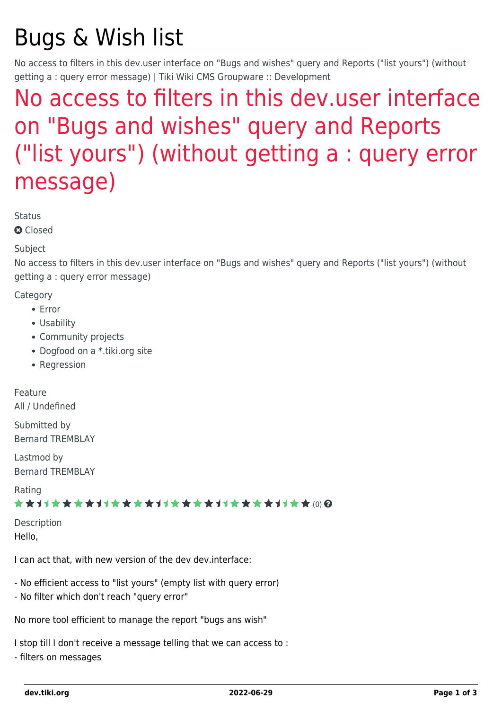# Bugs & Wish list

No access to filters in this dev.user interface on "Bugs and wishes" query and Reports ("list yours") (without getting a : query error message) | Tiki Wiki CMS Groupware :: Development

## [No access to filters in this dev.user interface](https://dev.tiki.org/item3104-No-access-to-filters-in-this-dev-user-interface-on-Bugs-and-wishes-query-and-Reports-list-yours-without-getting-a-query-error-message) [on "Bugs and wishes" query and Reports](https://dev.tiki.org/item3104-No-access-to-filters-in-this-dev-user-interface-on-Bugs-and-wishes-query-and-Reports-list-yours-without-getting-a-query-error-message) [\("list yours"\) \(without getting a : query error](https://dev.tiki.org/item3104-No-access-to-filters-in-this-dev-user-interface-on-Bugs-and-wishes-query-and-Reports-list-yours-without-getting-a-query-error-message) [message\)](https://dev.tiki.org/item3104-No-access-to-filters-in-this-dev-user-interface-on-Bugs-and-wishes-query-and-Reports-list-yours-without-getting-a-query-error-message)

**Status** 

**a** Closed

#### Subject

No access to filters in this dev.user interface on "Bugs and wishes" query and Reports ("list yours") (without getting a : query error message)

**Category** 

- Error
- Usability
- Community projects
- Dogfood on a \*.tiki.org site
- Regression

Feature All / Undefined

Submitted by Bernard TREMBLAY

Lastmod by Bernard TREMBLAY

Rating

★★11★★★★11★★★★11★★★★11★★★★11★★ @@

Description Hello,

I can act that, with new version of the dev dev.interface:

- No efficient access to "list yours" (empty list with query error)
- No filter which don't reach "query error"

No more tool efficient to manage the report "bugs ans wish"

I stop till I don't receive a message telling that we can access to :

- filters on messages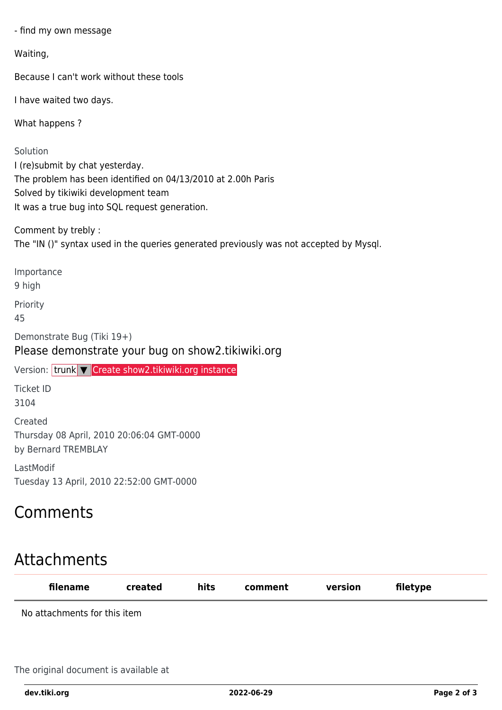- find my own message

Waiting,

Because I can't work without these tools

I have waited two days.

What happens ?

Solution I (re)submit by chat yesterday. The problem has been identified on 04/13/2010 at 2.00h Paris Solved by tikiwiki development team It was a true bug into SQL request generation.

Comment by trebly : The "IN ()" syntax used in the queries generated previously was not accepted by Mysql.

Importance

9 high

Priority

45

Demonstrate Bug (Tiki 19+)

Please demonstrate your bug on show2.tikiwiki.org

Version: trunk ▼ [Create show2.tikiwiki.org instance](#page--1-0)

Ticket ID 3104

Created Thursday 08 April, 2010 20:06:04 GMT-0000 by Bernard TREMBLAY

LastModif Tuesday 13 April, 2010 22:52:00 GMT-0000

### Comments

## Attachments

| filename                     | created | hits | comment | version | filetype |  |
|------------------------------|---------|------|---------|---------|----------|--|
| No attachments for this item |         |      |         |         |          |  |
|                              |         |      |         |         |          |  |

The original document is available at